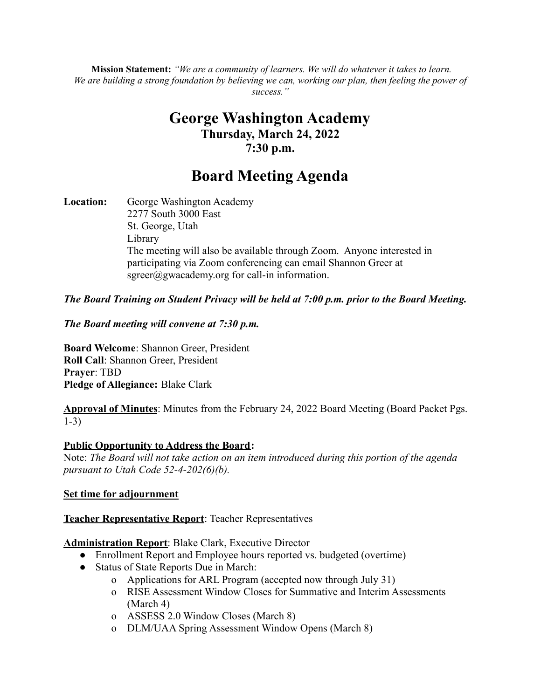**Mission Statement:** *"We are a community of learners. We will do whatever it takes to learn.* We are building a strong foundation by believing we can, working our plan, then feeling the power of *success."*

## **George Washington Academy Thursday, March 24, 2022 7:30 p.m.**

# **Board Meeting Agenda**

**Location:** George Washington Academy 2277 South 3000 East St. George, Utah Library The meeting will also be available through Zoom. Anyone interested in participating via Zoom conferencing can email Shannon Greer at  $sgreen(\hat{a})$ gwacademy.org for call-in information.

#### *The Board Training on Student Privacy will be held at 7:00 p.m. prior to the Board Meeting.*

#### *The Board meeting will convene at 7:30 p.m.*

**Board Welcome**: Shannon Greer, President **Roll Call**: Shannon Greer, President **Prayer**: TBD **Pledge of Allegiance:** Blake Clark

**Approval of Minutes**: Minutes from the February 24, 2022 Board Meeting (Board Packet Pgs. 1-3)

#### **Public Opportunity to Address the Board:**

Note: *The Board will not take action on an item introduced during this portion of the agenda pursuant to Utah Code 52-4-202(6)(b).*

#### **Set time for adjournment**

#### **Teacher Representative Report**: Teacher Representatives

#### **Administration Report**: Blake Clark, Executive Director

- Enrollment Report and Employee hours reported vs. budgeted (overtime)
- Status of State Reports Due in March:
	- o Applications for ARL Program (accepted now through July 31)
	- o RISE Assessment Window Closes for Summative and Interim Assessments (March 4)
	- o ASSESS 2.0 Window Closes (March 8)
	- o DLM/UAA Spring Assessment Window Opens (March 8)